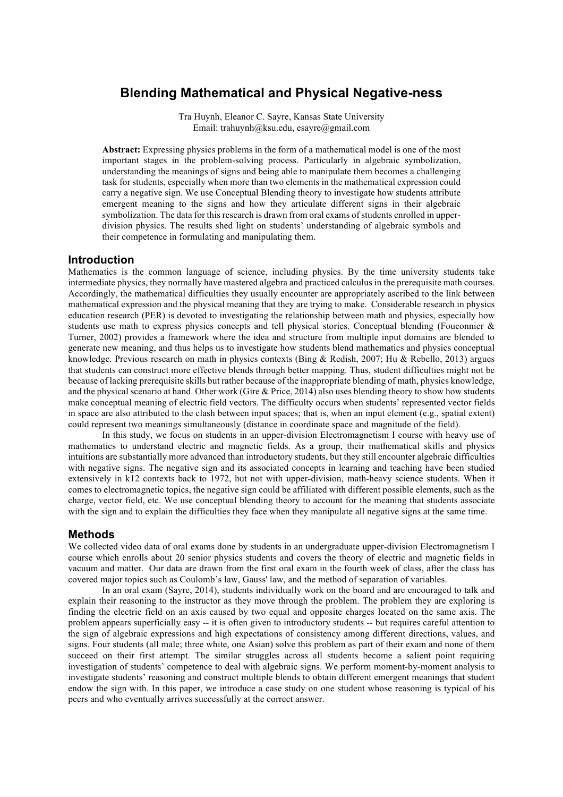# **Blending Mathematical and Physical Negative-ness**

Tra Huynh, Eleanor C. Sayre, Kansas State University Email: trahuynh@ksu.edu, esayre@gmail.com

**Abstract:** Expressing physics problems in the form of a mathematical model is one of the most important stages in the problem-solving process. Particularly in algebraic symbolization, understanding the meanings of signs and being able to manipulate them becomes a challenging task for students, especially when more than two elements in the mathematical expression could carry a negative sign. We use Conceptual Blending theory to investigate how students attribute emergent meaning to the signs and how they articulate different signs in their algebraic symbolization. The data for this research is drawn from oral exams of students enrolled in upperdivision physics. The results shed light on students' understanding of algebraic symbols and their competence in formulating and manipulating them.

## **Introduction**

Mathematics is the common language of science, including physics. By the time university students take intermediate physics, they normally have mastered algebra and practiced calculus in the prerequisite math courses. Accordingly, the mathematical difficulties they usually encounter are appropriately ascribed to the link between mathematical expression and the physical meaning that they are trying to make. Considerable research in physics education research (PER) is devoted to investigating the relationship between math and physics, especially how students use math to express physics concepts and tell physical stories. Conceptual blending (Fouconnier  $\&$ Turner, 2002) provides a framework where the idea and structure from multiple input domains are blended to generate new meaning, and thus helps us to investigate how students blend mathematics and physics conceptual knowledge. Previous research on math in physics contexts (Bing & Redish, 2007; Hu & Rebello, 2013) argues that students can construct more effective blends through better mapping. Thus, student difficulties might not be because of lacking prerequisite skills but rather because of the inappropriate blending of math, physics knowledge, and the physical scenario at hand. Other work (Gire & Price, 2014) also uses blending theory to show how students make conceptual meaning of electric field vectors. The difficulty occurs when students' represented vector fields in space are also attributed to the clash between input spaces; that is, when an input element (e.g., spatial extent) could represent two meanings simultaneously (distance in coordinate space and magnitude of the field).

In this study, we focus on students in an upper-division Electromagnetism I course with heavy use of mathematics to understand electric and magnetic fields. As a group, their mathematical skills and physics intuitions are substantially more advanced than introductory students, but they still encounter algebraic difficulties with negative signs. The negative sign and its associated concepts in learning and teaching have been studied extensively in k12 contexts back to 1972, but not with upper-division, math-heavy science students. When it comes to electromagnetic topics, the negative sign could be affiliated with different possible elements, such as the charge, vector field, etc. We use conceptual blending theory to account for the meaning that students associate with the sign and to explain the difficulties they face when they manipulate all negative signs at the same time.

# **Methods**

We collected video data of oral exams done by students in an undergraduate upper-division Electromagnetism I course which enrolls about 20 senior physics students and covers the theory of electric and magnetic fields in vacuum and matter. Our data are drawn from the first oral exam in the fourth week of class, after the class has covered major topics such as Coulomb's law, Gauss' law, and the method of separation of variables.

In an oral exam (Sayre, 2014), students individually work on the board and are encouraged to talk and explain their reasoning to the instructor as they move through the problem. The problem they are exploring is finding the electric field on an axis caused by two equal and opposite charges located on the same axis. The problem appears superficially easy -- it is often given to introductory students -- but requires careful attention to the sign of algebraic expressions and high expectations of consistency among different directions, values, and signs. Four students (all male; three white, one Asian) solve this problem as part of their exam and none of them succeed on their first attempt. The similar struggles across all students become a salient point requiring investigation of students' competence to deal with algebraic signs. We perform moment-by-moment analysis to investigate students' reasoning and construct multiple blends to obtain different emergent meanings that student endow the sign with. In this paper, we introduce a case study on one student whose reasoning is typical of his peers and who eventually arrives successfully at the correct answer.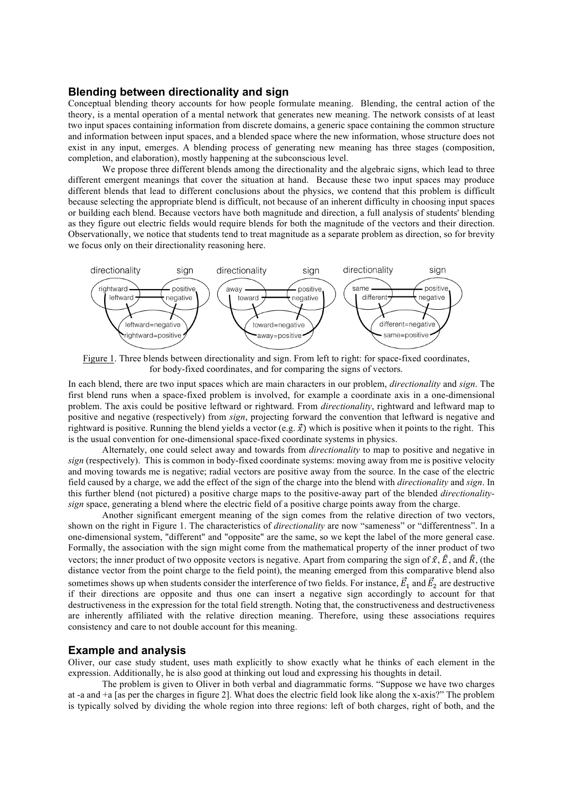## **Blending between directionality and sign**

Conceptual blending theory accounts for how people formulate meaning. Blending, the central action of the theory, is a mental operation of a mental network that generates new meaning. The network consists of at least two input spaces containing information from discrete domains, a generic space containing the common structure and information between input spaces, and a blended space where the new information, whose structure does not exist in any input, emerges. A blending process of generating new meaning has three stages (composition, completion, and elaboration), mostly happening at the subconscious level.

We propose three different blends among the directionality and the algebraic signs, which lead to three different emergent meanings that cover the situation at hand. Because these two input spaces may produce different blends that lead to different conclusions about the physics, we contend that this problem is difficult because selecting the appropriate blend is difficult, not because of an inherent difficulty in choosing input spaces or building each blend. Because vectors have both magnitude and direction, a full analysis of students' blending as they figure out electric fields would require blends for both the magnitude of the vectors and their direction. Observationally, we notice that students tend to treat magnitude as a separate problem as direction, so for brevity we focus only on their directionality reasoning here.



Figure 1. Three blends between directionality and sign. From left to right: for space-fixed coordinates, for body-fixed coordinates, and for comparing the signs of vectors.

In each blend, there are two input spaces which are main characters in our problem, *directionality* and *sign*. The first blend runs when a space-fixed problem is involved, for example a coordinate axis in a one-dimensional problem. The axis could be positive leftward or rightward. From *directionality*, rightward and leftward map to positive and negative (respectively) from *sign*, projecting forward the convention that leftward is negative and rightward is positive. Running the blend yields a vector (e.g.  $\vec{x}$ ) which is positive when it points to the right. This is the usual convention for one-dimensional space-fixed coordinate systems in physics.

Alternately, one could select away and towards from *directionality* to map to positive and negative in *sign* (respectively). This is common in body-fixed coordinate systems: moving away from me is positive velocity and moving towards me is negative; radial vectors are positive away from the source. In the case of the electric field caused by a charge, we add the effect of the sign of the charge into the blend with *directionality* and *sign*. In this further blend (not pictured) a positive charge maps to the positive-away part of the blended *directionalitysign* space, generating a blend where the electric field of a positive charge points away from the charge.

Another significant emergent meaning of the sign comes from the relative direction of two vectors, shown on the right in Figure 1. The characteristics of *directionality* are now "sameness" or "differentness". In a one-dimensional system, "different" and "opposite" are the same, so we kept the label of the more general case. Formally, the association with the sign might come from the mathematical property of the inner product of two vectors; the inner product of two opposite vectors is negative. Apart from comparing the sign of  $\hat{x}$ ,  $\hat{E}$ , and  $\hat{R}$ , (the distance vector from the point charge to the field point), the meaning emerged from this comparative blend also sometimes shows up when students consider the interference of two fields. For instance,  $\vec{E}_1$  and  $\vec{E}_2$  are destructive if their directions are opposite and thus one can insert a negative sign accordingly to account for that destructiveness in the expression for the total field strength. Noting that, the constructiveness and destructiveness are inherently affiliated with the relative direction meaning. Therefore, using these associations requires consistency and care to not double account for this meaning.

## **Example and analysis**

Oliver, our case study student, uses math explicitly to show exactly what he thinks of each element in the expression. Additionally, he is also good at thinking out loud and expressing his thoughts in detail.

The problem is given to Oliver in both verbal and diagrammatic forms. "Suppose we have two charges at -a and +a [as per the charges in figure 2]. What does the electric field look like along the x-axis?" The problem is typically solved by dividing the whole region into three regions: left of both charges, right of both, and the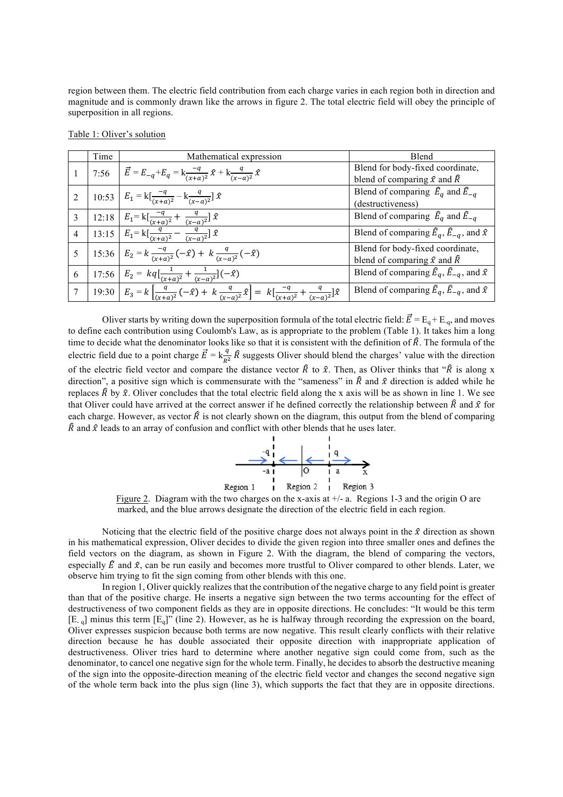region between them. The electric field contribution from each charge varies in each region both in direction and magnitude and is commonly drawn like the arrows in figure 2. The total electric field will obey the principle of superposition in all regions.

|                 | Time | Mathematical expression                                                                                                                                                             | Blend                                                                          |
|-----------------|------|-------------------------------------------------------------------------------------------------------------------------------------------------------------------------------------|--------------------------------------------------------------------------------|
|                 |      | 7:56 $\vec{E} = E_{-q} + E_q = k \frac{-q}{(x+a)^2} \hat{x} + k \frac{q}{(x-a)^2} \hat{x}$                                                                                          | Blend for body-fixed coordinate,<br>blend of comparing $\hat{x}$ and $\hat{R}$ |
| 2               |      | 10:53 $E_1 = k \left[ \frac{-q}{(x+a)^2} - k \frac{q}{(x-a)^2} \right] \hat{x}$                                                                                                     | Blend of comparing $\hat{E}_a$ and $\hat{E}_{-a}$<br>(destructiveness)         |
| 3               |      | 12:18 $E_1 = k \left[ \frac{-q}{(x+a)^2} + \frac{q}{(x-a)^2} \right] \hat{x}$                                                                                                       | Blend of comparing $\widehat{E}_a$ and $\widehat{\overline{E}_{-a}}$           |
| $\overline{4}$  |      | 13:15 $E_1 = k \left[\frac{q}{(x+a)^2} - \frac{q}{(x-a)^2}\right] \hat{x}$                                                                                                          | Blend of comparing $\hat{E}_q$ , $\hat{E}_{-q}$ , and $\hat{x}$                |
| 5               |      | 15:36 $E_2 = k \frac{-q}{(x+a)^2} (-\hat{x}) + k \frac{q}{(x-a)^2} (-\hat{x})$                                                                                                      | Blend for body-fixed coordinate,<br>blend of comparing $\hat{x}$ and $\hat{R}$ |
| 6               |      | 17:56 $E_2 = kq \left[\frac{1}{(x+a)^2} + \frac{1}{(x-a)^2}\right] (-\hat{x})$                                                                                                      | Blend of comparing $\hat{E}_q$ , $\hat{E}_{-q}$ , and $\hat{x}$                |
| $7\overline{ }$ |      | 19:30 $E_3 = k \left[ \frac{q}{(x+a)^2} \left( \frac{-\hat{x}}{-x} \right) + k \frac{q}{(x-a)^2} \hat{x} \right] = k \left[ \frac{-q}{(x+a)^2} + \frac{q}{(x-a)^2} \right] \hat{x}$ | Blend of comparing $\hat{E}_a$ , $\hat{E}_{-a}$ , and $\hat{x}$                |

Table 1: Oliver's solution

Oliver starts by writing down the superposition formula of the total electric field:  $\vec{E} = E_q + E_{-q}$ , and moves to define each contribution using Coulomb's Law, as is appropriate to the problem (Table 1). It takes him a long time to decide what the denominator looks like so that it is consistent with the definition of  $\hat{R}$ . The formula of the electric field due to a point charge  $\vec{E} = k \frac{q}{R^2} \hat{R}$  suggests Oliver should blend the charges' value with the direction of the electric field vector and compare the distance vector  $\hat{R}$  to  $\hat{x}$ . Then, as Oliver thinks that " $\hat{R}$  is along x direction", a positive sign which is commensurate with the "sameness" in  $\hat{R}$  and  $\hat{x}$  direction is added while he replaces  $\hat{R}$  by  $\hat{x}$ . Oliver concludes that the total electric field along the x axis will be as shown in line 1. We see that Oliver could have arrived at the correct answer if he defined correctly the relationship between  $\hat{R}$  and  $\hat{x}$  for each charge. However, as vector  $\hat{R}$  is not clearly shown on the diagram, this output from the blend of comparing  $\hat{R}$  and  $\hat{x}$  leads to an array of confusion and conflict with other blends that he uses later.



Figure 2. Diagram with the two charges on the x-axis at  $+/-$  a. Regions 1-3 and the origin O are marked, and the blue arrows designate the direction of the electric field in each region.

Noticing that the electric field of the positive charge does not always point in the  $\hat{x}$  direction as shown in his mathematical expression, Oliver decides to divide the given region into three smaller ones and defines the field vectors on the diagram, as shown in Figure 2. With the diagram, the blend of comparing the vectors, especially  $\hat{E}$  and  $\hat{x}$ , can be run easily and becomes more trustful to Oliver compared to other blends. Later, we observe him trying to fit the sign coming from other blends with this one.

In region 1, Oliver quickly realizes that the contribution of the negative charge to any field point is greater than that of the positive charge. He inserts a negative sign between the two terms accounting for the effect of destructiveness of two component fields as they are in opposite directions. He concludes: "It would be this term  $[E_{q}]$  minus this term  $[E_{q}]$ " (line 2). However, as he is halfway through recording the expression on the board, Oliver expresses suspicion because both terms are now negative. This result clearly conflicts with their relative direction because he has double associated their opposite direction with inappropriate application of destructiveness. Oliver tries hard to determine where another negative sign could come from, such as the denominator, to cancel one negative sign for the whole term. Finally, he decides to absorb the destructive meaning of the sign into the opposite-direction meaning of the electric field vector and changes the second negative sign of the whole term back into the plus sign (line 3), which supports the fact that they are in opposite directions.